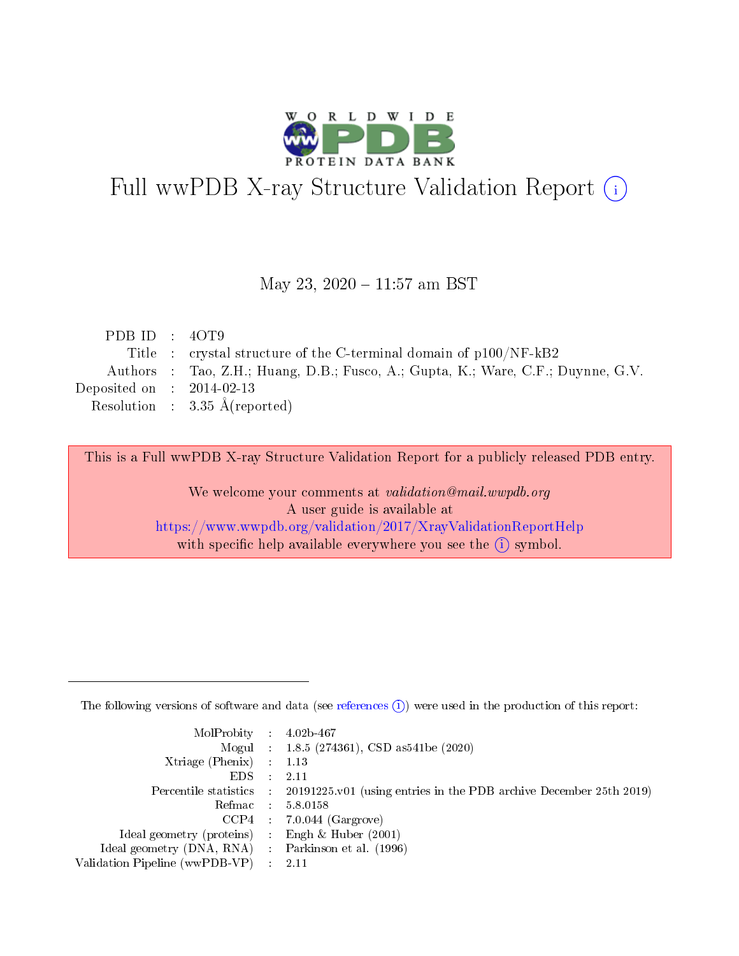

# Full wwPDB X-ray Structure Validation Report (i)

#### May 23, 2020 - 11:57 am BST

| PDB ID : $40T9$             |                                                                                  |
|-----------------------------|----------------------------------------------------------------------------------|
|                             | Title : crystal structure of the C-terminal domain of $p100/NF-kB2$              |
|                             | Authors : Tao, Z.H.; Huang, D.B.; Fusco, A.; Gupta, K.; Ware, C.F.; Duynne, G.V. |
| Deposited on : $2014-02-13$ |                                                                                  |
|                             |                                                                                  |
|                             | Resolution : $3.35 \text{ Å}$ (reported)                                         |

This is a Full wwPDB X-ray Structure Validation Report for a publicly released PDB entry.

We welcome your comments at validation@mail.wwpdb.org A user guide is available at <https://www.wwpdb.org/validation/2017/XrayValidationReportHelp> with specific help available everywhere you see the  $(i)$  symbol.

The following versions of software and data (see [references](https://www.wwpdb.org/validation/2017/XrayValidationReportHelp#references)  $(1)$ ) were used in the production of this report:

| $MolProbability$ : 4.02b-467                        |                                                                                            |
|-----------------------------------------------------|--------------------------------------------------------------------------------------------|
|                                                     | Mogul : $1.8.5$ (274361), CSD as 541be (2020)                                              |
| Xtriage (Phenix) $: 1.13$                           |                                                                                            |
| EDS                                                 | -2.11                                                                                      |
|                                                     | Percentile statistics : 20191225.v01 (using entries in the PDB archive December 25th 2019) |
| Refmac 58.0158                                      |                                                                                            |
|                                                     | $CCP4$ 7.0.044 (Gargrove)                                                                  |
| Ideal geometry (proteins) : Engh $\&$ Huber (2001)  |                                                                                            |
| Ideal geometry (DNA, RNA) : Parkinson et al. (1996) |                                                                                            |
| Validation Pipeline (wwPDB-VP) : 2.11               |                                                                                            |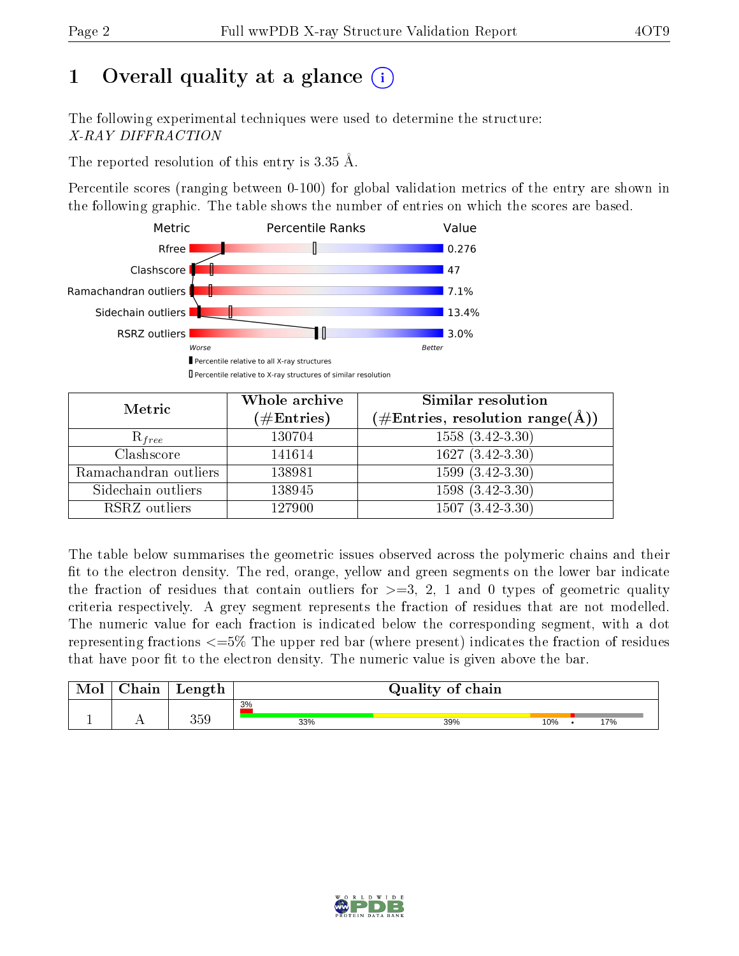## 1 [O](https://www.wwpdb.org/validation/2017/XrayValidationReportHelp#overall_quality)verall quality at a glance  $(i)$

The following experimental techniques were used to determine the structure: X-RAY DIFFRACTION

The reported resolution of this entry is 3.35 Å.

Percentile scores (ranging between 0-100) for global validation metrics of the entry are shown in the following graphic. The table shows the number of entries on which the scores are based.



| Metric                | Whole archive<br>$(\#\text{Entries})$ | Similar resolution<br>$(\#\text{Entries}, \text{resolution range}(\text{\AA}))$ |
|-----------------------|---------------------------------------|---------------------------------------------------------------------------------|
| $R_{free}$            | 130704                                | $1558(3.42-3.30)$                                                               |
| Clashscore            | 141614                                | $1627(3.42-3.30)$                                                               |
| Ramachandran outliers | 138981                                | $1599(3.42-3.30)$                                                               |
| Sidechain outliers    | 138945                                | $1598(3.42-3.30)$                                                               |
| RSRZ outliers         | 127900                                | $1507(3.42-3.30)$                                                               |

The table below summarises the geometric issues observed across the polymeric chains and their fit to the electron density. The red, orange, yellow and green segments on the lower bar indicate the fraction of residues that contain outliers for  $>=$  3, 2, 1 and 0 types of geometric quality criteria respectively. A grey segment represents the fraction of residues that are not modelled. The numeric value for each fraction is indicated below the corresponding segment, with a dot representing fractions  $\epsilon=5\%$  The upper red bar (where present) indicates the fraction of residues that have poor fit to the electron density. The numeric value is given above the bar.

| $\cap$ hain | Length | Quality of chain |     |     |  |     |
|-------------|--------|------------------|-----|-----|--|-----|
|             |        | 3%               |     |     |  |     |
|             | 359    | 33%              | 39% | 10% |  | 17% |

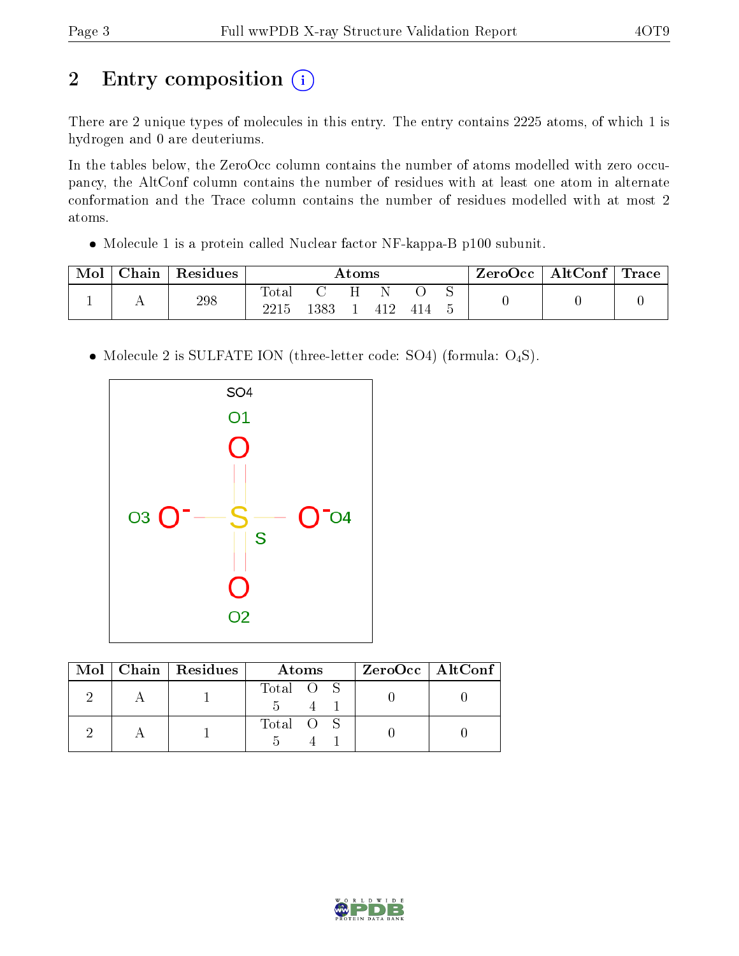# 2 Entry composition (i)

There are 2 unique types of molecules in this entry. The entry contains 2225 atoms, of which 1 is hydrogen and 0 are deuteriums.

In the tables below, the ZeroOcc column contains the number of atoms modelled with zero occupancy, the AltConf column contains the number of residues with at least one atom in alternate conformation and the Trace column contains the number of residues modelled with at most 2 atoms.

Molecule 1 is a protein called Nuclear factor NF-kappa-B p100 subunit.

| Mol | Chain | Residues | Atoms         |                    |  |      | ZeroOcc   AltConf   Trace |  |  |  |
|-----|-------|----------|---------------|--------------------|--|------|---------------------------|--|--|--|
|     |       | 298      | Total<br>2215 | <b>C</b> 2<br>1383 |  | -412 |                           |  |  |  |

• Molecule 2 is SULFATE ION (three-letter code: SO4) (formula: O<sub>4</sub>S).



|  | $Mol$   Chain   Residues | Atoms     | $ZeroOcc$   AltConf |
|--|--------------------------|-----------|---------------------|
|  |                          | Total O S |                     |
|  |                          | Total O S |                     |

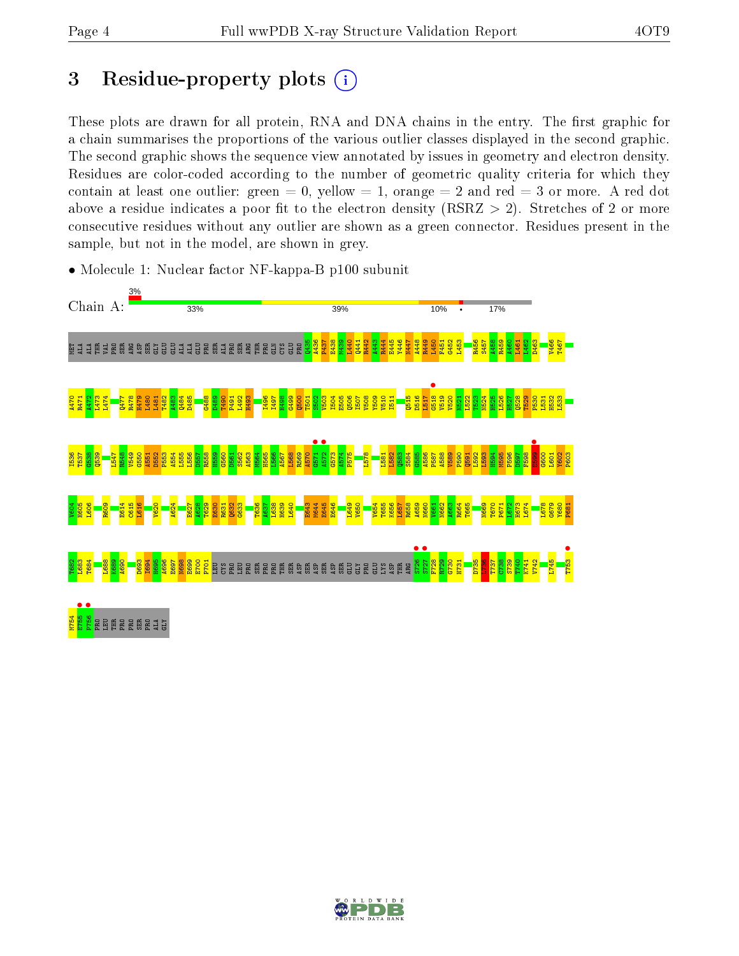## 3 Residue-property plots  $(i)$

These plots are drawn for all protein, RNA and DNA chains in the entry. The first graphic for a chain summarises the proportions of the various outlier classes displayed in the second graphic. The second graphic shows the sequence view annotated by issues in geometry and electron density. Residues are color-coded according to the number of geometric quality criteria for which they contain at least one outlier: green  $= 0$ , yellow  $= 1$ , orange  $= 2$  and red  $= 3$  or more. A red dot above a residue indicates a poor fit to the electron density (RSRZ  $> 2$ ). Stretches of 2 or more consecutive residues without any outlier are shown as a green connector. Residues present in the sample, but not in the model, are shown in grey.



• Molecule 1: Nuclear factor NF-kappa-B p100 subunit

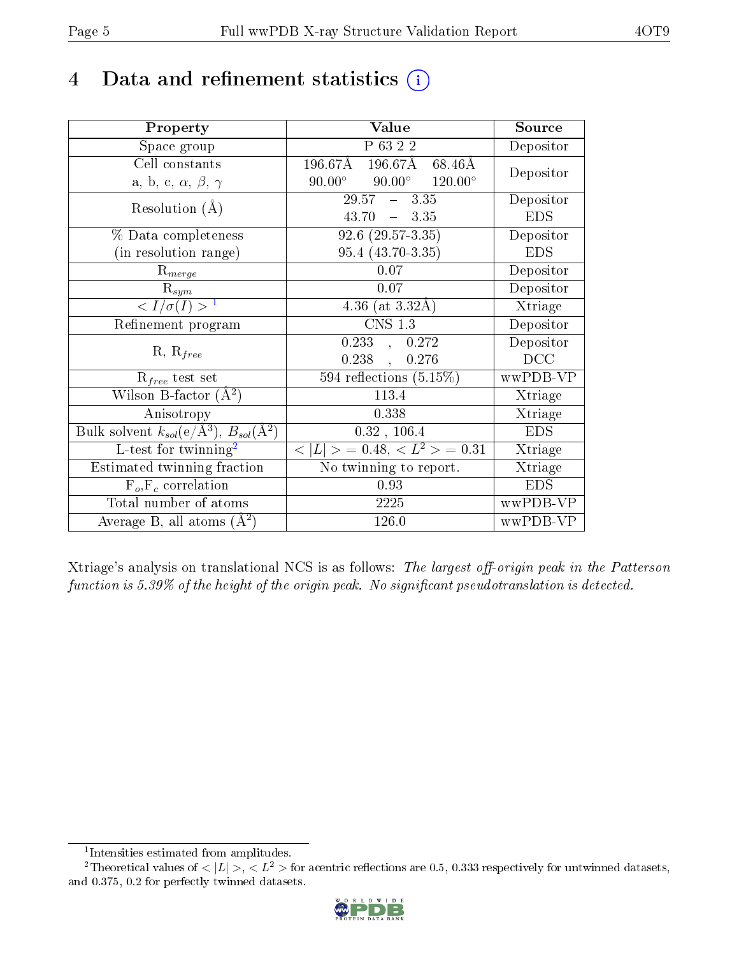## 4 Data and refinement statistics  $(i)$

| Property                                                         | Value                                              | Source     |
|------------------------------------------------------------------|----------------------------------------------------|------------|
| Space group                                                      | P 63 2 2                                           | Depositor  |
| Cell constants                                                   | 196.67Å 196.67Å 68.46Å                             | Depositor  |
| a, b, c, $\alpha$ , $\beta$ , $\gamma$                           | $90.00^\circ$<br>$90.00^\circ$<br>$120.00^{\circ}$ |            |
| Resolution $(A)$                                                 | $29.57 - 3.35$                                     | Depositor  |
|                                                                  | $-3.35$<br>43.70                                   | <b>EDS</b> |
| % Data completeness                                              | $92.6(29.57-3.35)$                                 | Depositor  |
| (in resolution range)                                            | 95.4 (43.70-3.35)                                  | <b>EDS</b> |
| $R_{merge}$                                                      | 0.07                                               | Depositor  |
| $\mathrm{R}_{sym}$                                               | 0.07                                               | Depositor  |
| $\sqrt{I/\sigma(I)} > 1$                                         | 4.36 (at $3.32\text{\AA}$ )                        | Xtriage    |
| Refinement program                                               | $\overline{\text{CNS} 1.3}$                        | Depositor  |
|                                                                  | 0.233<br>0.272<br>$\ddot{\phantom{1}}$             | Depositor  |
| $R, R_{free}$                                                    | $0.238$ ,<br>0.276                                 | DCC        |
| $R_{free}$ test set                                              | 594 reflections $(5.15\%)$                         | wwPDB-VP   |
| Wilson B-factor $(A^2)$                                          | 113.4                                              | Xtriage    |
| Anisotropy                                                       | 0.338                                              | Xtriage    |
| Bulk solvent $k_{sol}(\text{e}/\text{A}^3), B_{sol}(\text{A}^2)$ | 0.32, 106.4                                        | <b>EDS</b> |
| L-test for $\mathrm{twinning}^2$                                 | $< L >$ = 0.48, $< L^2 >$ = 0.31                   | Xtriage    |
| Estimated twinning fraction                                      | No twinning to report.                             | Xtriage    |
| $\overline{F_o}, \overline{F_c}$ correlation                     | 0.93                                               | <b>EDS</b> |
| Total number of atoms                                            | 2225                                               | wwPDB-VP   |
| Average B, all atoms $(A^2)$                                     | 126.0                                              | wwPDB-VP   |

Xtriage's analysis on translational NCS is as follows: The largest off-origin peak in the Patterson function is  $5.39\%$  of the height of the origin peak. No significant pseudotranslation is detected.

<sup>&</sup>lt;sup>2</sup>Theoretical values of  $\langle |L| \rangle$ ,  $\langle L^2 \rangle$  for acentric reflections are 0.5, 0.333 respectively for untwinned datasets, and 0.375, 0.2 for perfectly twinned datasets.



<span id="page-4-1"></span><span id="page-4-0"></span><sup>1</sup> Intensities estimated from amplitudes.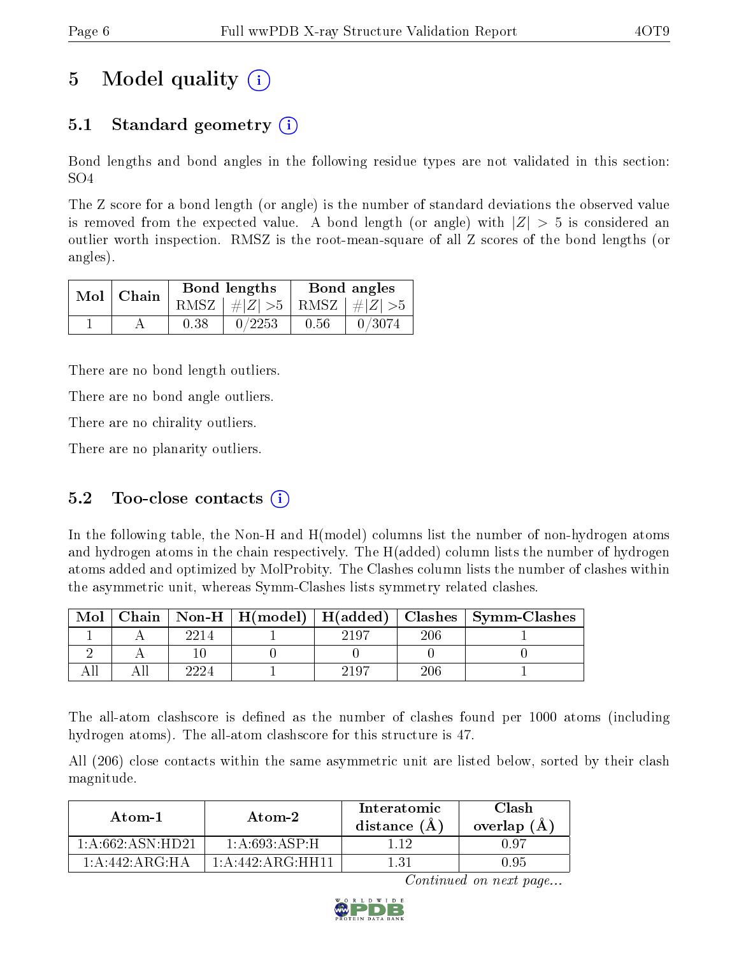## 5 Model quality  $(i)$

## 5.1 Standard geometry (i)

Bond lengths and bond angles in the following residue types are not validated in this section: SO4

The Z score for a bond length (or angle) is the number of standard deviations the observed value is removed from the expected value. A bond length (or angle) with  $|Z| > 5$  is considered an outlier worth inspection. RMSZ is the root-mean-square of all Z scores of the bond lengths (or angles).

| $Mol$ Chain |      | Bond lengths                    | Bond angles |        |  |
|-------------|------|---------------------------------|-------------|--------|--|
|             |      | RMSZ $ #Z  > 5$ RMSZ $ #Z  > 5$ |             |        |  |
|             | 0.38 | 0/2253                          | 0.56        | 0/3074 |  |

There are no bond length outliers.

There are no bond angle outliers.

There are no chirality outliers.

There are no planarity outliers.

### 5.2 Too-close contacts  $(i)$

In the following table, the Non-H and H(model) columns list the number of non-hydrogen atoms and hydrogen atoms in the chain respectively. The H(added) column lists the number of hydrogen atoms added and optimized by MolProbity. The Clashes column lists the number of clashes within the asymmetric unit, whereas Symm-Clashes lists symmetry related clashes.

| Mol |      |       |     | Chain   Non-H   H(model)   H(added)   Clashes   Symm-Clashes |
|-----|------|-------|-----|--------------------------------------------------------------|
|     | 2214 | 2197  | 206 |                                                              |
|     |      |       |     |                                                              |
|     |      | -2197 | 206 |                                                              |

The all-atom clashscore is defined as the number of clashes found per 1000 atoms (including hydrogen atoms). The all-atom clashscore for this structure is 47.

All (206) close contacts within the same asymmetric unit are listed below, sorted by their clash magnitude.

| Atom-1              | Atom-2           | Interatomic<br>distance $(A)$ | Clash<br>overlap $(A)$ |
|---------------------|------------------|-------------------------------|------------------------|
| 1: A:662: ASN:HD21  | 1: A:693:ASP:H   |                               | N 97                   |
| 1: A:442: A R G:H A | 1:A:442:ARG:HH11 | 131                           | 0.95                   |

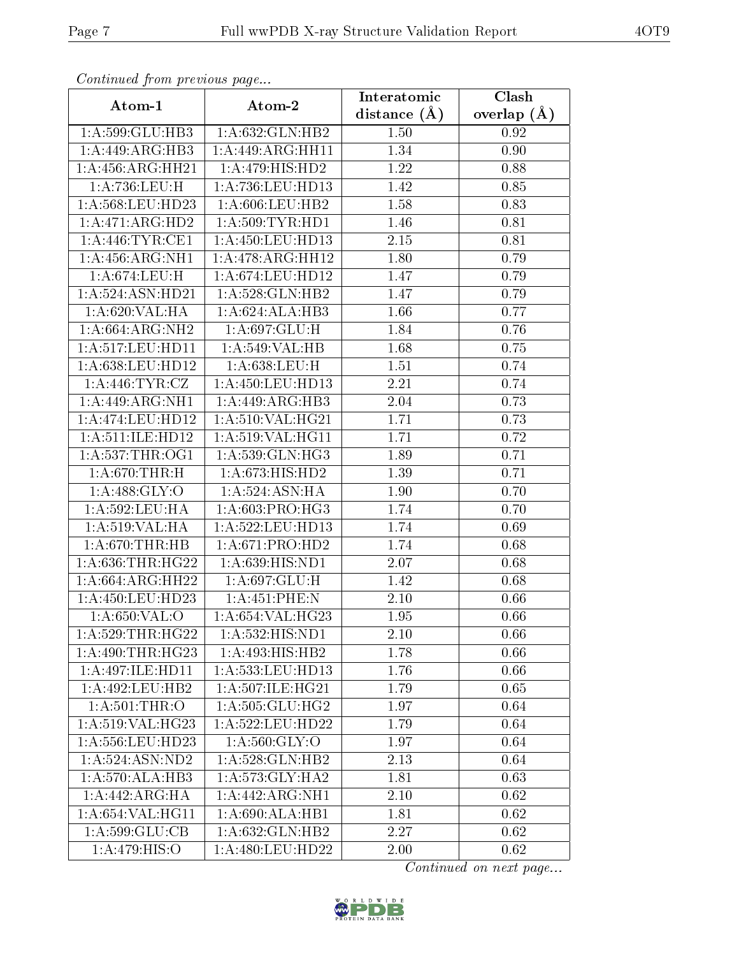| Continuea from previous page              |                                 | Interatomic      | Clash         |
|-------------------------------------------|---------------------------------|------------------|---------------|
| Atom-1                                    | Atom-2                          | distance $(\AA)$ | overlap $(A)$ |
| 1:A:599:GLU:HB3                           | 1: A:632: GLN: HB2              | 1.50             | 0.92          |
| 1: A:449: ARG:HB3                         | 1:A:449:ARG:HH11                | 1.34             | 0.90          |
| 1:A:456:ARG:HH21                          | $1:A:479:HIS:H\overline{D2}$    | 1.22             | 0.88          |
| 1:A:736:LEU:H                             | 1:A:736:LEU:HD13                | 1.42             | 0.85          |
| 1:A:568:LEU:HD23                          | 1: A:606:LEU:HB2                | 1.58             | 0.83          |
| 1: A:471: ARG:HD2                         | 1: A:509:TYR:HD1                | 1.46             | 0.81          |
| 1: A:446: TYR: CE1                        | 1:A:450:LEU:HD13                | 2.15             | 0.81          |
| 1: A: 456: ARG: NH1                       | 1:A:478:ARG:HH12                | 1.80             | 0.79          |
| 1:A:674:LEU:H                             | 1: A:674:LEU:HD12               | 1.47             | 0.79          |
| 1:A:524:ASN:HD21                          | 1:A:528:GLN:HB2                 | 1.47             | 0.79          |
| 1: A:620: VAL: HA                         | 1:A:624:ALA:HB3                 | 1.66             | 0.77          |
| 1:A:664:ARG:NH2                           | 1:A:697:GLU:H                   | 1.84             | 0.76          |
| $1:\overline{A}:517:\underline{LEU}:HD11$ | 1:A:549:VAL:HB                  | 1.68             | 0.75          |
| 1:A:638:LEU:HD12                          | 1:A:638:LEU:H                   | 1.51             | 0.74          |
| 1: A:446: TYR: CZ                         | 1: A: 450: LEU: HD13            | 2.21             | 0.74          |
| 1:A:449:ARG:NH1                           | $1:A:449:ARG:H\overline{B3}$    | 2.04             | 0.73          |
| 1: A:474:LEU:HD12                         | 1:A:510:VAL:HG21                | 1.71             | 0.73          |
| 1: A:511: ILE: HD12                       | 1:A:519:VAL:HG11                | 1.71             | 0.72          |
| 1: A:537:THR:OG1                          | 1:A:539:GLN:HG3                 | 1.89             | 0.71          |
| 1: A:670:THR:H                            | 1:A:673:HIS:HD2                 | 1.39             | 0.71          |
| 1: A:488: GLY:O                           | 1: A:524: ASN: HA               | 1.90             | 0.70          |
| 1: A:592:LEU:HA                           | 1:A:603:PRO:HG3                 | 1.74             | 0.70          |
| 1:A:519:VAL:HA                            | 1:A:522:LEU:HD13                | 1.74             | 0.69          |
| 1: A:670:THR:HB                           | 1:A:671:PRO:HD2                 | 1.74             | 0.68          |
| 1: A:636:THR:HG22                         | 1:A:639:HIS:ND1                 | 2.07             | 0.68          |
| 1:A:664:ARG:HH22                          | 1:A:697:GLU:H                   | 1.42             | 0.68          |
| 1:A:450:LEU:HD23                          | 1:A:451:PHE:N                   | 2.10             | 0.66          |
| 1:A:650:VAL:O                             | 1:A:654:VAL:HG23                | 1.95             | 0.66          |
| 1: A:529:THR:HG22                         | 1:A:532:HIS:ND1                 | 2.10             | 0.66          |
| 1:A:490:THR:HG23                          | 1:A:493:HIS:HB2                 | 1.78             | 0.66          |
| 1:A:497:ILE:HD11                          | 1:A:533:LEU:HD13                | 1.76             | 0.66          |
| 1: A:492:LEU:HB2                          | 1: A:507: ILE: HG <sub>21</sub> | 1.79             | 0.65          |
| 1: A:501:THR:O                            | 1: A: 505: GLU: HG2             | 1.97             | 0.64          |
| 1: A:519: VAL:HG23                        | 1:A:522:LEU:HD22                | 1.79             | 0.64          |
| 1: A:556:LEU:HD23                         | 1: A:560: GLY:O                 | 1.97             | 0.64          |
| 1: A:524: ASN:ND2                         | 1: A:528: GLN: HB2              | 2.13             | 0.64          |
| 1: A:570:ALA:HB3                          | 1:A:573:GLY:HA2                 | 1.81             | 0.63          |
| 1:A:442:ARG:HA                            | 1:A:442:ARG:NH1                 | 2.10             | 0.62          |
| 1:A:654:VAL:HG11                          | 1:A:690:ALA:HB1                 | 1.81             | 0.62          |
| 1:A:599:GLU:CB                            | 1: A:632: GLN: HB2              | 2.27             | 0.62          |
| 1:A:479:HIS:O                             | 1:A:480:LEU:HD22                | 2.00             | 0.62          |

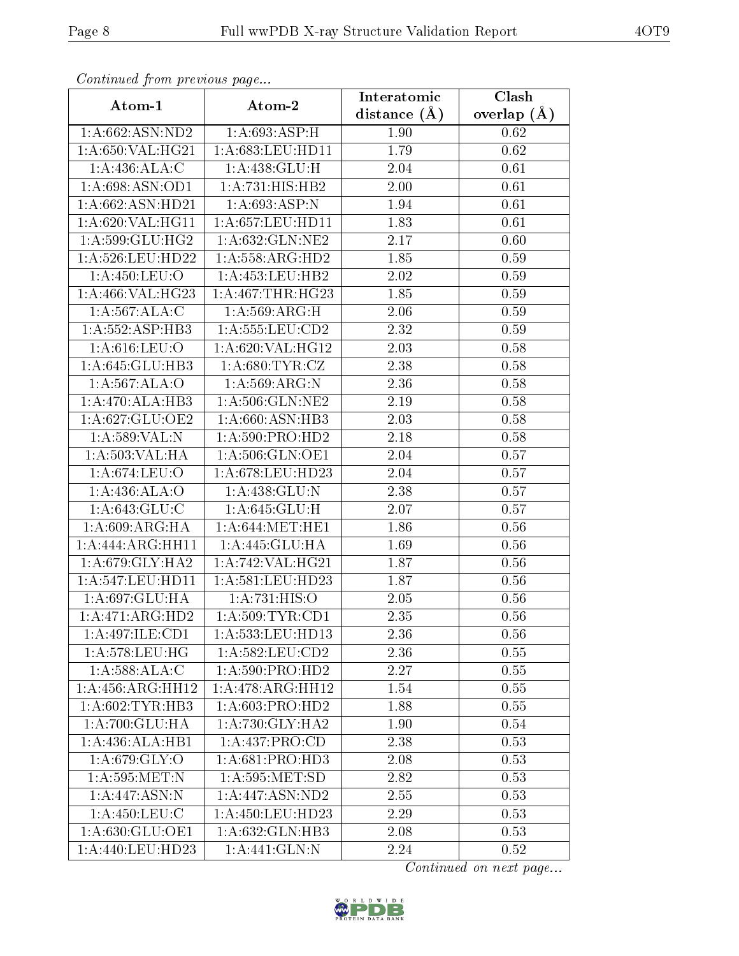| Comunaca jiom previous page   |                                               | Interatomic       | Clash         |
|-------------------------------|-----------------------------------------------|-------------------|---------------|
| Atom-1                        | Atom-2                                        | distance $(A)$    | overlap $(A)$ |
| 1: A:662: ASN:ND2             | 1: A:693:ASP:H                                | 1.90              | 0.62          |
| 1: A:650: VAL:HG21            | 1:A:683:LEU:HD11                              | 1.79              | 0.62          |
| 1: A:436:ALA:C                | 1:A:438:GLU:H                                 | 2.04              | 0.61          |
| 1: A:698: ASN:OD1             | 1:A:731:HIS:HB2                               | 2.00              | 0.61          |
| 1:A:662:ASN:HD21              | 1:A:693:ASP:N                                 | 1.94              | 0.61          |
| 1:A:620:VAL:HG11              | 1: A: 657: LEU: HD11                          | 1.83              | 0.61          |
| 1:A:599:GLU:HG2               | 1:A:632:GLN:NE2                               | $\overline{2.17}$ | 0.60          |
| 1: A:526:LEU:HD22             | 1: A: 558: ARG: HD2                           | 1.85              | 0.59          |
| 1: A:450: LEU:O               | 1:A:453:LEU:HB2                               | 2.02              | 0.59          |
| 1:A:466:VAL:HG23              | 1: A:467:THR:HG23                             | 1.85              | 0.59          |
| 1: A:567:ALA:C                | 1: A:569:ARG:H                                | 2.06              | 0.59          |
| 1: A: 552: ASP: HB3           | 1: A: 555: LEU: CD2                           | 2.32              | 0.59          |
| 1: A:616: LEU:O               | 1:A:620:VAL:HG12                              | 2.03              | 0.58          |
| 1:A:645:GLU:HB3               | 1: A:680: TYR: CZ                             | 2.38              | 0.58          |
| 1: A:567: ALA:O               | 1:A:569:ARG:N                                 | 2.36              | 0.58          |
| 1:A:470:ALA:HB3               | 1: A:506: GLN: NE2                            | 2.19              | 0.58          |
| 1:A:627:GLU:OE2               | 1:A:660:ASN:HB3                               | 2.03              | 0.58          |
| 1:A:589:VAL:N                 | 1: A:590: PRO:HD2                             | 2.18              | 0.58          |
| 1: A: 503: VAL: HA            | 1: A:506: GLN:OE1                             | 2.04              | 0.57          |
| 1: A:674:LEU:O                | 1:A:678:LEU:HD23                              | 2.04              | 0.57          |
| 1:A:436:ALA:O                 | 1:A:438:GLU:N                                 | 2.38              | 0.57          |
| 1: A:643: GLU: C              | 1: A:645: GLU: H                              | 2.07              | 0.57          |
| 1: A:609: ARG: HA             | 1: A:644: MET:HE1                             | 1.86              | 0.56          |
| 1:A:444:ARG:HH11              | 1:A:445:GLU:HA                                | 1.69              | 0.56          |
| 1: A:679: GLY: HA2            | 1:A:742:VAL:HG21                              | 1.87              | 0.56          |
| 1:A:547:LEU:HDI1              | 1:A:581:LEU:HD23                              | 1.87              | 0.56          |
| 1: A:697: GLU: HA             | 1:A:731:HIS:O                                 | 2.05              | 0.56          |
| 1:A:471:ARG:HD2               | 1: A:509: TYR: CD1                            | 2.35              | 0.56          |
| 1:A:497:ILE:CD1               | $1:\overline{A}:533:\!{\rm LEU}:\!{\rm HD}13$ | 2.36              | 0.56          |
| 1:A:578:LEU:HG                | 1: A: 582: LEU: CD2                           | 2.36              | $0.55\,$      |
| 1: A:588:ALA:C                | 1: A:590: PRO:HD2                             | 2.27              | 0.55          |
| $1:A:456:A\overline{RG:HH12}$ | 1:A:478:ARG:HH12                              | 1.54              | 0.55          |
| 1:A:602:TYR:HB3               | 1: A:603: PRO:HD2                             | 1.88              | 0.55          |
| 1:A:700:GLU:HA                | 1: A:730: GLY:HA2                             | 1.90              | 0.54          |
| 1:A:436:ALA:HB1               | 1: A: 437: PRO:CD                             | 2.38              | 0.53          |
| 1: A:679: GLY:O               | 1: A:681: PRO:HD3                             | 2.08              | 0.53          |
| 1: A: 595: MET: N             | 1: A: 595: MET: SD                            | 2.82              | 0.53          |
| 1:A:447:ASN:N                 | 1:A:447:ASN:ND2                               | 2.55              | 0.53          |
| 1: A:450:LEU: C               | 1: A: 450: LEU: HD23                          | 2.29              | 0.53          |
| 1: A:630: GLU:OE1             | 1:A:632:GLN:HB3                               | 2.08              | 0.53          |
| 1:A:440:LEU:HD23              | 1:A:441:GLN:N                                 | 2.24              | 0.52          |

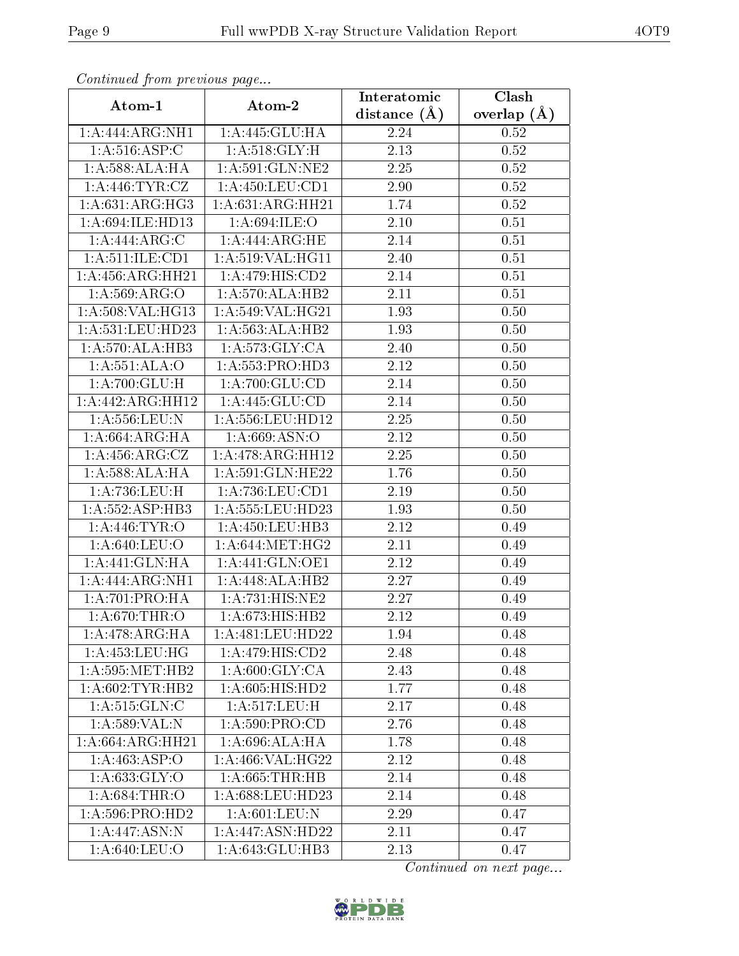| Communaca from previous page          |                               | Interatomic       | Clash           |
|---------------------------------------|-------------------------------|-------------------|-----------------|
| Atom-1                                | Atom-2                        | distance $(\AA)$  | overlap $(\AA)$ |
| 1:A:444:ARG:NH1                       | 1:A:445:GLU:HA                | 2.24              | 0.52            |
| 1: A:516: ASP:C                       | 1: A:518: GLY:H               | $\overline{2.13}$ | 0.52            |
| 1: A:588:ALA:HA                       | 1: A:591: GLN:NE2             | 2.25              | 0.52            |
| 1: A:446: TYR: CZ                     | 1: A: 450: LEU: CD1           | 2.90              | 0.52            |
| 1:A:631:ARG:HG3                       | 1: A:631: ARG: HH21           | 1.74              | 0.52            |
| 1:A:694:ILE:HD13                      | 1: A:694: ILE: O              | 2.10              | 0.51            |
| 1:A:444:ARG:C                         | 1:A:444:ARG:HE                | 2.14              | 0.51            |
| 1: A: 511: ILE: CD1                   | 1:A:519:VAL:HG11              | 2.40              | 0.51            |
| 1:A:456:ARG:HH21                      | 1:A:479:HIS:CD2               | 2.14              | 0.51            |
| 1:A:569:ARG:O                         | 1:A:570:ALA:HB2               | 2.11              | 0.51            |
| 1:A:508:VAL:HG13                      | 1:A:549:VAL:HG21              | 1.93              | 0.50            |
| 1:A:531:LEU:HD23                      | 1:A:563:ALA:HB2               | 1.93              | 0.50            |
| 1:A:570:ALA:HB3                       | 1: A: 573: GLY: CA            | 2.40              | 0.50            |
| $1:A:551:\overline{\mathrm{ALA:O}}$   | 1:A:553:PRO:HD3               | 2.12              | 0.50            |
| 1: A:700: GLU: H                      | 1: A:700: GLU:CD              | 2.14              | 0.50            |
| 1:A:442:ARG:HH12                      | 1: A:445: GLU:CD              | 2.14              | 0.50            |
| 1: A: 556: LEU: N                     | 1:A:556:LEU:HD12              | 2.25              | 0.50            |
| 1: A:664:ARG:HA                       | 1: A:669: ASN:O               | 2.12              | 0.50            |
| 1: A: 456: ARG: CZ                    | 1: A:478:ARG:HH12             | 2.25              | 0.50            |
| 1: A:588:ALA:HA                       | 1:A:591:GLN:HE22              | 1.76              | 0.50            |
| 1:A:736:LEU:H                         | 1: A: 736: LEU: CD1           | 2.19              | 0.50            |
| 1:A:552:ASP:HB3                       | 1:A:555:LEU:HD23              | 1.93              | 0.50            |
| 1:A:446:TYR:O                         | 1: A: 450: LEU: HB3           | 2.12              | 0.49            |
| $1: A:640: \overline{\textrm{LEU:O}}$ | 1: A:644: MET:HG2             | 2.11              | 0.49            |
| 1:A:441:GLN:HA                        | 1: A:441: GLN:OE1             | 2.12              | 0.49            |
| 1:A:444:ARG:NH1                       | 1:A:448:ALA:HB2               | 2.27              | 0.49            |
| 1: A:701:PRO:HA                       | 1:A:731:HIS:NE2               | 2.27              | 0.49            |
| 1: A:670:THR:O                        | $1:A:673:HIS:\overline{H B2}$ | 2.12              | 0.49            |
| 1:A:478:ARG:HA                        | 1:A:481:LEU:HD22              | 1.94              | 0.48            |
| 1:A:453:LEU:HG                        | 1: A:479:HIS:CD2              | 2.48              | 0.48            |
| 1: A: 595: MET: HB2                   | 1: A:600: GLY: CA             | 2.43              | 0.48            |
| 1: A:602:TYR:HB2                      | $1:A:605:HI\overline{S:HD2}$  | 1.77              | 0.48            |
| 1: A:515: GLN: C                      | 1:A:517:LEU:H                 | 2.17              | 0.48            |
| 1:A:589:VAL:N                         | 1: A:590:PRO:CD               | 2.76              | 0.48            |
| 1:A:664:ARG:HH21                      | 1: A:696:ALA:HA               | 1.78              | 0.48            |
| 1:A:463:ASP:O                         | 1:A:466:VAL:HG22              | 2.12              | 0.48            |
| 1: A:633: GLY:O                       | 1: A:665:THR:HB               | 2.14              | 0.48            |
| 1: A:684:THR:O                        | 1:A:688:LEU:HD23              | 2.14              | 0.48            |
| 1: A:596: PRO:HD2                     | 1: A:601:LEU: N               | 2.29              | 0.47            |
| 1:A:447:ASN:N                         | 1:A:447:ASN:HD22              | 2.11              | 0.47            |
| 1:A:640:LEU:O                         | 1: A:643: GLU:HB3             | 2.13              | 0.47            |

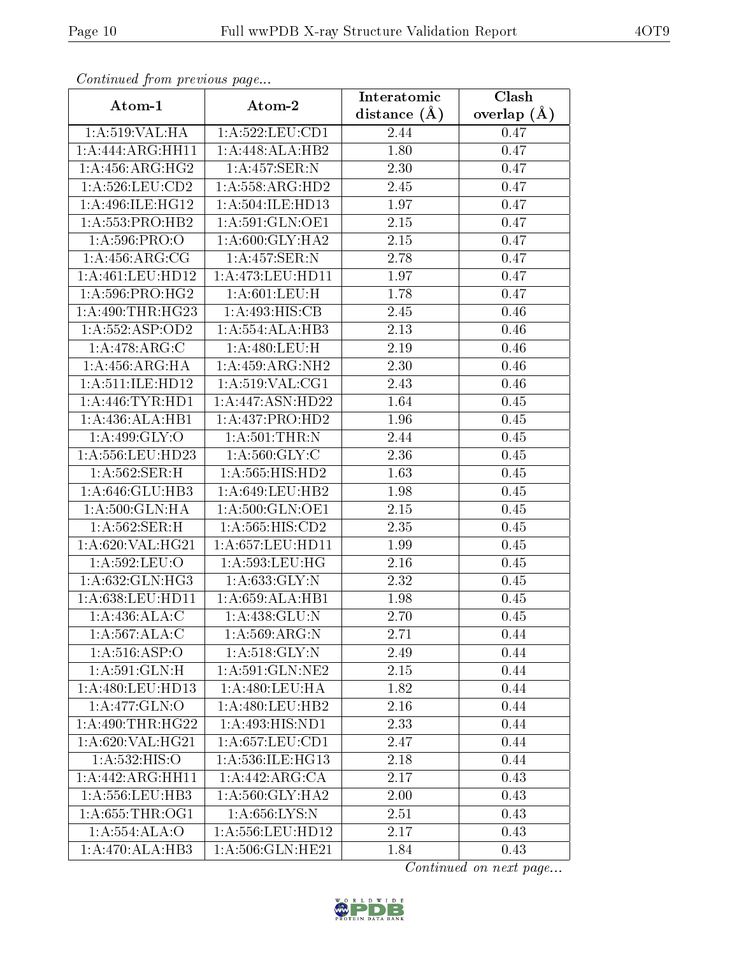| Continued from previous page            |                              | Interatomic    | $\overline{\text{Clash}}$ |  |
|-----------------------------------------|------------------------------|----------------|---------------------------|--|
| Atom-1                                  | Atom-2                       | distance $(A)$ | overlap $(A)$             |  |
| 1: A:519: VAL: HA                       | 1: A:522:LEU:CD1             | 2.44           | 0.47                      |  |
| 1:A:444:ARG:HH11                        | 1:A:448:ALA:HB2              | 1.80           | 0.47                      |  |
| 1: A: 456: ARG: HG2                     | 1:A:457:SER:N                | 2.30           | 0.47                      |  |
| $1: A:526: \overline{\textrm{LEU:CD2}}$ | 1:A:558:ARG:HD2              | 2.45           | 0.47                      |  |
| 1:A:496:ILE:HG12                        | 1: A: 504: ILE: HD13         | 1.97           | 0.47                      |  |
| 1: A: 553: PRO: HB2                     | 1: A:591: GLN:OE1            | 2.15           | 0.47                      |  |
| 1: A:596: PRO:O                         | 1: A:600: GLY:HA2            | 2.15           | 0.47                      |  |
| 1: A:456:ARG:CG                         | 1:A:457:SER:N                | 2.78           | 0.47                      |  |
| 1: A:461:LEU:HD12                       | 1:A:473:LEU:HDI1             | 1.97           | 0.47                      |  |
| $1: A:596: \overline{PRO:HG2}$          | 1: A:601:LEU:H               | 1.78           | 0.47                      |  |
| 1:A:490:THR:HG23                        | 1:A:493:HIS:CB               | 2.45           | 0.46                      |  |
| 1:A:552:ASP:OD2                         | 1:A:554:ALA:HB3              | 2.13           | 0.46                      |  |
| 1:A:478:ARG:C                           | $1: A:480:$ LEU:H            | 2.19           | 0.46                      |  |
| 1: A: 456: ARG: HA                      | 1: A: 459: ARG: NH2          | 2.30           | 0.46                      |  |
| 1: A:511: ILE: HD12                     | 1:A:519:VAL:CG1              | 2.43           | 0.46                      |  |
| 1: A:446: TYR: HD1                      | 1:A:447:ASN:HD22             | 1.64           | 0.45                      |  |
| 1:A:436:ALA:HB1                         | 1:A:437:PRO:HD2              | 1.96           | 0.45                      |  |
| 1:A:499:GLY:O                           | 1: A:501:THR:N               | 2.44           | 0.45                      |  |
| 1:A:556:LEU:HD23                        | 1: A:560: GLY: C             | 2.36           | $0.45\,$                  |  |
| 1:A:562:SER:H                           | 1:A:565:HIS:HD2              | 1.63           | 0.45                      |  |
| 1:A:646:GLU:HB3                         | 1:A:649:LEU:HB2              | 1.98           | 0.45                      |  |
| 1:A:500:GLN:HA                          | 1: A:500: GLN:OE1            | 2.15           | 0.45                      |  |
| 1: A:562:SER:H                          | 1:A:565:HIS:CD2              | 2.35           | 0.45                      |  |
| 1:A:620:VAL:HG21                        | 1:A:657:LEU:HD11             | 1.99           | 0.45                      |  |
| 1:A:592:LEU:O                           | 1:A:593:LEU:HG               | 2.16           | 0.45                      |  |
| 1:A:632:GLN:HG3                         | 1:A:633:GLY:N                | 2.32           | 0.45                      |  |
| 1: A:638:LEU:HD11                       | 1:A:659:ALA:HB1              | 1.98           | 0.45                      |  |
| 1: A:436:ALA:C                          | 1:A:438:GLU:N                | 2.70           | 0.45                      |  |
| 1:A:567:ALA:C                           | 1: A:569: ARG: N             | 2.71           | 0.44                      |  |
| 1: A:516: ASP:O                         | 1: A:518: GLY:N              | 2.49           | 0.44                      |  |
| 1: A:591: GLN: H                        | 1: A:591: GLN: NE2           | 2.15           | 0.44                      |  |
| 1: A:480: LEU: HD13                     | 1:A:480:LEU:HA               | 1.82           | 0.44                      |  |
| $1:A:477:\overline{GLN:O}$              | 1: A:480: LEU:HB2            | 2.16           | 0.44                      |  |
| 1:A:490:THR:HG22                        | $1:A:49\overline{3:HIS:ND1}$ | 2.33           | 0.44                      |  |
| 1: A:620: VAL: HG21                     | 1: A:657:LEU:CD1             | 2.47           | 0.44                      |  |
| 1:A:532:HIS:O                           | 1:A:536:ILE:HG13             | 2.18           | 0.44                      |  |
| 1:A:442:ARG:HH11                        | 1: A:442:ARG:CA              | 2.17           | 0.43                      |  |
| 1: A: 556: LEU: HB3                     | 1:A:560:GLY:HA2              | 2.00           | 0.43                      |  |
| 1: A:655:THR:OG1                        | 1:A:656:LYS:N                | 2.51           | 0.43                      |  |
| 1:A:554:ALA:O                           | 1:A:556:LEU:HD12             | 2.17           | 0.43                      |  |
| $1:A:470:\overline{ALA:HB3}$            | 1: A:506: GLN: HE21          | 1.84           | 0.43                      |  |

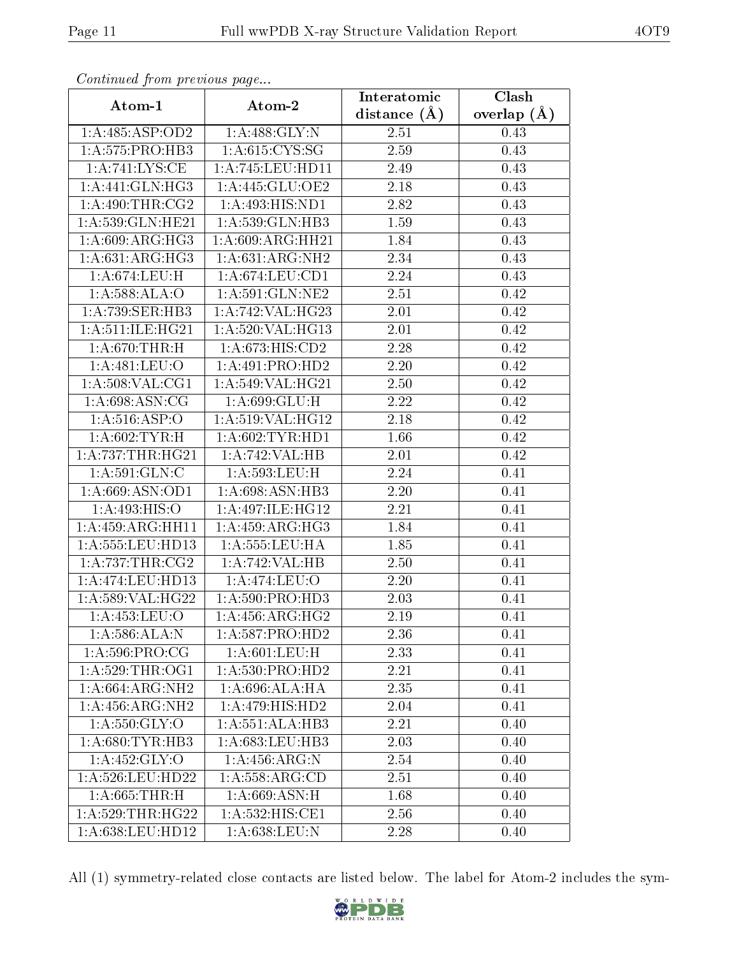| Commuca from previous page |                              | Interatomic       | Clash         |  |
|----------------------------|------------------------------|-------------------|---------------|--|
| Atom-1                     | Atom-2                       | distance $(\AA)$  | overlap $(A)$ |  |
| 1:A:485:ASP:OD2            | 1: A:488: GLY:N              | 2.51              | 0.43          |  |
| 1:A:575:PRO:HB3            | 1: A:615: CYS:SG             | 2.59              | 0.43          |  |
| 1: A:741:LYS:CE            | 1:A:745:LEU:HD11             | 2.49              | 0.43          |  |
| 1: A:441: GLN: HG3         | 1:A:445:GLU:OE2              | 2.18              | 0.43          |  |
| 1: A:490:THR:CG2           | $1:A:493:HIS:\overline{ND1}$ | 2.82              | 0.43          |  |
| 1:A:539:GLN:HE21           | 1:A:539:GLN:HB3              | 1.59              | 0.43          |  |
| 1:A:609:ARG:HG3            | 1:A:609:ARG:HH21             | 1.84              | 0.43          |  |
| 1: A:631:ARG:HG3           | 1: A:631: ARG: NH2           | 2.34              | 0.43          |  |
| 1:A:674:LEU:H              | 1: A:674:LEU:CD1             | 2.24              | 0.43          |  |
| 1:A:588:ALA:O              | 1: A:591: GLN: NE2           | 2.51              | 0.42          |  |
| 1:A:739:SER:HB3            | 1:A:742:VAL:HG23             | 2.01              | 0.42          |  |
| 1: A:511: ILE: HG21        | 1: A:520: VAL:HG13           | 2.01              | 0.42          |  |
| 1: A:670:THR:H             | 1:A:673:HIS:CD2              | 2.28              | 0.42          |  |
| 1: A:481:LEU:O             | 1:A:491:PRO:HD2              | 2.20              | 0.42          |  |
| 1:A:508:VAL:CG1            | 1:A:549:VAL:HG21             | 2.50              | 0.42          |  |
| 1: A:698: ASN:CG           | 1:A:699:GLU:H                | 2.22              | 0.42          |  |
| 1: A:516: ASP:O            | 1: A:519: VAL: HG12          | 2.18              | 0.42          |  |
| 1: A:602:TYR:H             | 1: A:602:TYR:HD1             | 1.66              | 0.42          |  |
| 1: A: 737: THR: HG21       | 1:A:742:VAL:HB               | 2.01              | 0.42          |  |
| 1: A:591: GLN: C           | 1:A:593:LEU:H                | 2.24              | 0.41          |  |
| 1:A:669:ASN:OD1            | 1:A:698:ASN:HB3              | 2.20              | 0.41          |  |
| 1: A:493: HIS:O            | 1:A:497:ILE:HG12             | 2.21              | 0.41          |  |
| 1:A:459:ARG:HH11           | 1: A:459: ARG:HG3            | 1.84              | 0.41          |  |
| 1: A: 555: LEU: HD13       | 1: A: 555: LEU: HA           | 1.85              | 0.41          |  |
| 1: A:737:THR:CG2           | 1:A:742:VAL:HB               | 2.50              | 0.41          |  |
| 1:A:474:LEU:HD13           | 1: A:474:LEU:O               | $\overline{2}.20$ | 0.41          |  |
| 1:A:589:VAL:HG22           | 1: A:590: PRO:HD3            | 2.03              | 0.41          |  |
| 1:A:453:LEU:O              | 1:A:456:ARG:HG2              | $2.19\,$          | 0.41          |  |
| 1: A:586: ALA: N           | 1: A:587: PRO:HD2            | 2.36              | 0.41          |  |
| 1: A:596: PRO:CG           | 1: A:601:LEU. H              | 2.33              | 0.41          |  |
| 1: A:529:THR:OG1           | 1:A:530:PRO:HD2              | 2.21              | 0.41          |  |
| 1:A:664:ARG:NH2            | 1:A:696:ALA:HA               | 2.35              | 0.41          |  |
| 1: A: 456: ARG: NH2        | $1:A:479:HI\overline{S:HD2}$ | 2.04              | 0.41          |  |
| 1: A: 550: GLY: O          | 1:A:551:ALA:HB3              | 2.21              | 0.40          |  |
| 1: A:680: TYR: HB3         | 1: A:683:LEU:HB3             | 2.03              | 0.40          |  |
| 1:A:452:GLY:O              | 1:A:456:ARG:N                | 2.54              | 0.40          |  |
| 1: A:526:LEU:HD22          | 1: A: 558: ARG:CD            | 2.51              | 0.40          |  |
| 1: A:665:THR:H             | 1: A:669: ASN:H              | 1.68              | 0.40          |  |
| 1: A:529:THR:HG22          | 1:A:532:HIS:CE1              | 2.56              | 0.40          |  |
| 1:A:638:LEU:HD12           | 1:A:638:LEU:N                | 2.28              | 0.40          |  |

All (1) symmetry-related close contacts are listed below. The label for Atom-2 includes the sym-

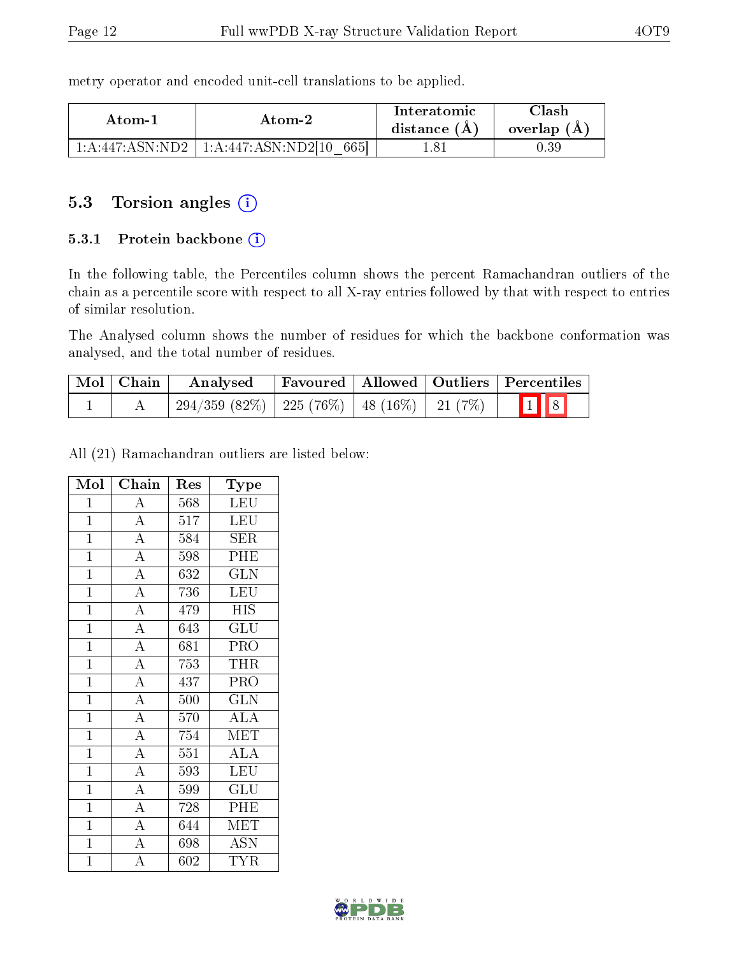metry operator and encoded unit-cell translations to be applied.

| Atom-1 | Atom-2                                            | Interatomic<br>distance $(A)$ | Clash<br>overlap $(A)$ |
|--------|---------------------------------------------------|-------------------------------|------------------------|
|        | $1:A:447:ASN:ND2 \mid 1:A:447:ASN:ND2[10]$<br>665 |                               | $\rm 0.39$             |

## 5.3 Torsion angles (i)

#### 5.3.1 Protein backbone (i)

In the following table, the Percentiles column shows the percent Ramachandran outliers of the chain as a percentile score with respect to all X-ray entries followed by that with respect to entries of similar resolution.

The Analysed column shows the number of residues for which the backbone conformation was analysed, and the total number of residues.

| $\mid$ Mol $\mid$ Chain $\mid$ | Analysed                                             |  | Favoured   Allowed   Outliers   Percentiles |
|--------------------------------|------------------------------------------------------|--|---------------------------------------------|
|                                | $294/359$ (82\%)   225 (76\%)   48 (16\%)   21 (7\%) |  | $\boxed{1}$ $\boxed{8}$                     |

All (21) Ramachandran outliers are listed below:

| Mol            | Chain                     | Res | Type                      |
|----------------|---------------------------|-----|---------------------------|
| $\mathbf{1}$   | $\overline{\rm A}$        | 568 | <b>LEU</b>                |
| $\mathbf{1}$   | $\overline{A}$            | 517 | <b>LEU</b>                |
| $\mathbf{1}$   | $\overline{A}$            | 584 | <b>SER</b>                |
| $\mathbf{1}$   | $\overline{A}$            | 598 | PHE                       |
| $\overline{1}$ | $\overline{A}$            | 632 | $\overline{\text{GLN}}$   |
| $\overline{1}$ | $\overline{A}$            | 736 | <b>LEU</b>                |
| $\mathbf{1}$   | $\overline{A}$            | 479 | <b>HIS</b>                |
| $\mathbf{1}$   | $\overline{A}$            | 643 | $\overline{\text{GLU}}$   |
| $\overline{1}$ | $\overline{A}$            | 681 | PRO                       |
| $\mathbf{1}$   | $\overline{A}$            | 753 | <b>THR</b>                |
| $\overline{1}$ | $\overline{A}$            | 437 | PRO                       |
| $\overline{1}$ | $\overline{A}$            | 500 | $\overline{\text{GLN}}$   |
| $\mathbf{1}$   | $\overline{A}$            | 570 | $\overline{\rm ALA}$      |
| $\mathbf{1}$   | $\overline{A}$            | 754 | <b>MET</b>                |
| $\mathbf{1}$   | $\overline{A}$            | 551 | $\overline{\rm ALA}$      |
| $\mathbf{1}$   | $\overline{A}$            | 593 | <b>LEU</b>                |
| $\overline{1}$ | $\overline{A}$            | 599 | $\overline{\mathrm{GLU}}$ |
| $\mathbf{1}$   | $\overline{A}$            | 728 | PHE                       |
| $\overline{1}$ | $\overline{A}$            | 644 | MET                       |
| $\mathbf{1}$   | $\overline{A}$            | 698 | <b>ASN</b>                |
| $\overline{1}$ | $\overline{\overline{A}}$ | 602 | <b>TYR</b>                |

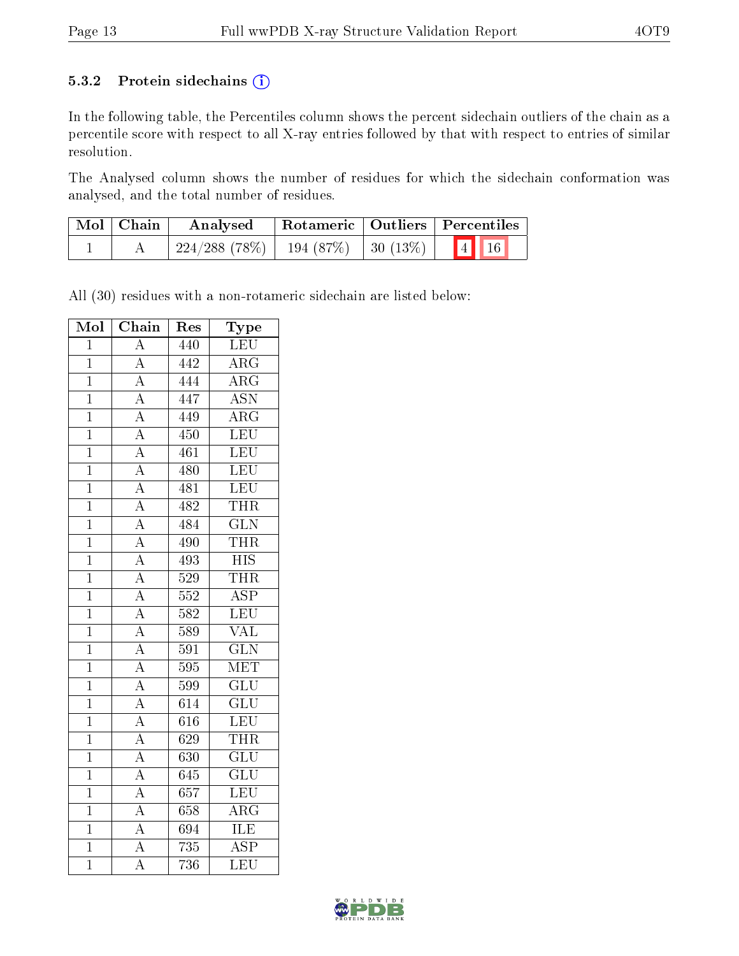#### 5.3.2 Protein sidechains (i)

In the following table, the Percentiles column shows the percent sidechain outliers of the chain as a percentile score with respect to all X-ray entries followed by that with respect to entries of similar resolution.

The Analysed column shows the number of residues for which the sidechain conformation was analysed, and the total number of residues.

| Mol   Chain | Rotameric   Outliers   Percentiles<br>Analysed |  |  |                                |
|-------------|------------------------------------------------|--|--|--------------------------------|
|             | $224/288$ (78\%)   194 (87\%)   30 (13\%)      |  |  | $\vert 4 \vert \vert 16 \vert$ |

All (30) residues with a non-rotameric sidechain are listed below:

| Mol            | Chain                               | Res              | Type                      |
|----------------|-------------------------------------|------------------|---------------------------|
| $\overline{1}$ | $\overline{A}$                      | 440              | LEU                       |
| $\overline{1}$ | $\overline{A}$                      | 442              | $\overline{\rm{ARG}}$     |
| $\overline{1}$ | $\overline{A}$                      | 444              | $\overline{\rm ARG}$      |
| $\mathbf{1}$   |                                     | 447              | $\overline{\mathrm{ASN}}$ |
| $\mathbf{1}$   | $\frac{\overline{A}}{A}$            | 449              | $\overline{\rm{ARG}}$     |
| $\mathbf{1}$   | $\frac{\overline{A}}{\overline{A}}$ | 450              | LEU                       |
| $\overline{1}$ |                                     | 461              | LEU                       |
| $\overline{1}$ |                                     | 480              | LEU                       |
| $\mathbf{1}$   |                                     | 481              | LEU                       |
| $\overline{1}$ | $\frac{\overline{A}}{A}$            | 482              | <b>THR</b>                |
| $\mathbf{1}$   | $\frac{\overline{A}}{\overline{A}}$ | 484              | $\overline{\text{GLN}}$   |
| $\mathbf{1}$   |                                     | 490              | <b>THR</b>                |
| $\mathbf 1$    |                                     | 493              | $\overline{HIS}$          |
| $\mathbf{1}$   | $\frac{\overline{A}}{\overline{A}}$ | 529              | THR                       |
| $\mathbf{1}$   |                                     | 552              | $\overline{\text{ASP}}$   |
| $\overline{1}$ | $\overline{A}$                      | 582              | LEU                       |
| $\mathbf{1}$   |                                     | 589              | <b>VAL</b>                |
| $\overline{1}$ | $\frac{\overline{A}}{\overline{A}}$ | 591              | $\overline{\text{GLN}}$   |
| $\overline{1}$ | $\frac{\overline{A}}{A}$            | 595              | $\rm \overline{MET}$      |
| $\mathbf 1$    |                                     | 599              | $\overline{\text{GLU}}$   |
| $\mathbf{1}$   |                                     | $\overline{614}$ | $\overline{\text{GLU}}$   |
| $\overline{1}$ | $\frac{\overline{A}}{\overline{A}}$ | 616              | LEU                       |
| $\mathbf{1}$   | $\overline{A}$                      | 629              | <b>THR</b>                |
| $\mathbf{1}$   | $\overline{A}$                      | 630              | $\overline{\text{GLU}}$   |
| $\mathbf{1}$   | $\overline{A}$                      | 645              | $\overline{\text{GLU}}$   |
| $\overline{1}$ | $\overline{A}$                      | 657              | LEU                       |
| $\mathbf{1}$   | $\overline{A}$                      | 658              | $\overline{\rm{ARG}}$     |
| $\mathbf{1}$   | $\overline{A}$                      | 694              | ILE                       |
| $\overline{1}$ | $\overline{\rm A}$                  | 735              | $\overline{\text{ASP}}$   |
| $\overline{1}$ | $\overline{\rm A}$                  | 736              | $\overline{\text{LEU}}$   |

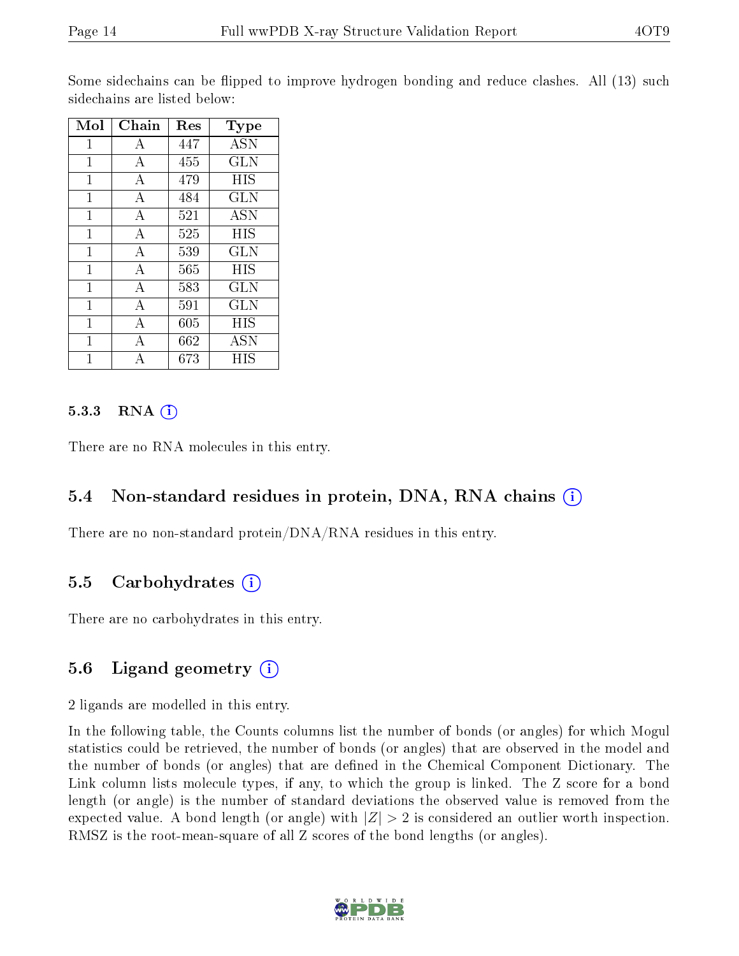Some sidechains can be flipped to improve hydrogen bonding and reduce clashes. All (13) such sidechains are listed below:

| Mol          | Chain | Res | $_{\rm Type}$ |
|--------------|-------|-----|---------------|
| 1            | А     | 447 | <b>ASN</b>    |
| $\mathbf{1}$ | А     | 455 | <b>GLN</b>    |
| 1            | А     | 479 | HIS           |
| 1            | А     | 484 | <b>GLN</b>    |
| 1            | А     | 521 | <b>ASN</b>    |
| 1            | А     | 525 | HIS           |
| 1            | А     | 539 | <b>GLN</b>    |
| 1            | А     | 565 | HIS           |
| $\mathbf{1}$ | А     | 583 | <b>GLN</b>    |
| 1            | A     | 591 | <b>GLN</b>    |
| 1            | А     | 605 | HIS           |
| 1            | А     | 662 | <b>ASN</b>    |
| 1            | А     | 673 | HIS           |

#### 5.3.3 RNA $(i)$

There are no RNA molecules in this entry.

#### 5.4 Non-standard residues in protein, DNA, RNA chains (i)

There are no non-standard protein/DNA/RNA residues in this entry.

#### 5.5 Carbohydrates  $(i)$

There are no carbohydrates in this entry.

### 5.6 Ligand geometry  $(i)$

2 ligands are modelled in this entry.

In the following table, the Counts columns list the number of bonds (or angles) for which Mogul statistics could be retrieved, the number of bonds (or angles) that are observed in the model and the number of bonds (or angles) that are defined in the Chemical Component Dictionary. The Link column lists molecule types, if any, to which the group is linked. The Z score for a bond length (or angle) is the number of standard deviations the observed value is removed from the expected value. A bond length (or angle) with  $|Z| > 2$  is considered an outlier worth inspection. RMSZ is the root-mean-square of all Z scores of the bond lengths (or angles).

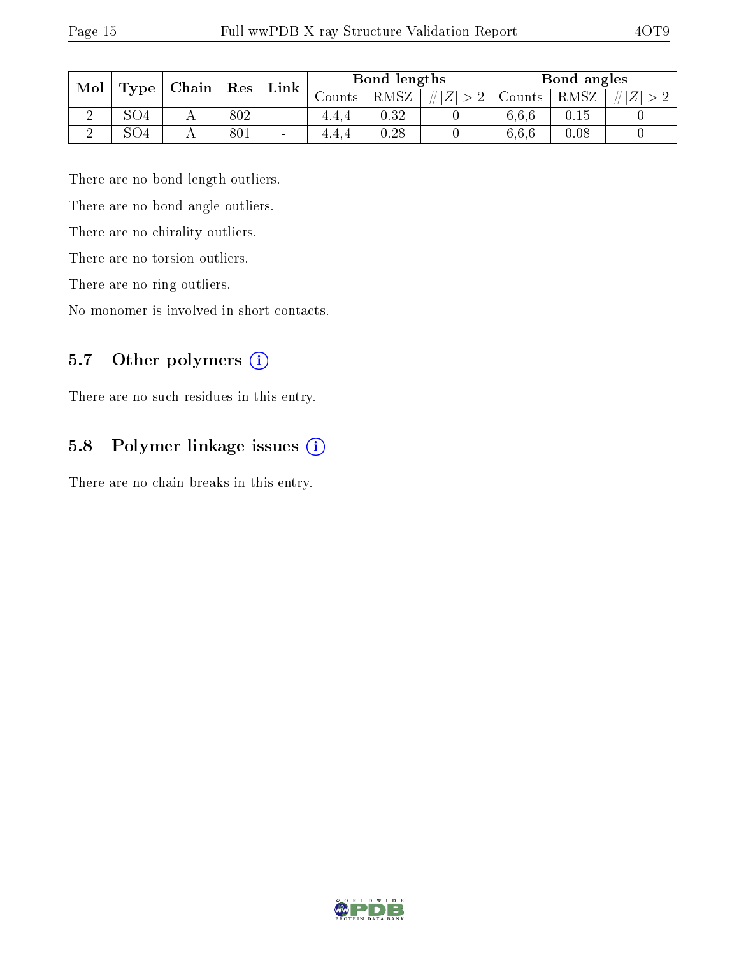| Mol |                   | Chain | Res | $\mathop{\rm Link}\nolimits$ |          | Bond lengths |             |        | Bond angles |     |
|-----|-------------------|-------|-----|------------------------------|----------|--------------|-------------|--------|-------------|-----|
|     | Type <sup>1</sup> |       |     |                              | Jounts : | RMSZ         | # $ Z  > 2$ | Counts | RMSZ        | # Z |
|     | SO4               |       | 802 | $\overline{\phantom{a}}$     | 4.4.4    | 0.32         |             | 6.6.6  | 0.15        |     |
|     | SO4               |       | 801 | $\sim$                       | 4.4.4    | 0.28         |             | 6.6.6  | 0.08        |     |

There are no bond length outliers.

There are no bond angle outliers.

There are no chirality outliers.

There are no torsion outliers.

There are no ring outliers.

No monomer is involved in short contacts.

### 5.7 [O](https://www.wwpdb.org/validation/2017/XrayValidationReportHelp#nonstandard_residues_and_ligands)ther polymers (i)

There are no such residues in this entry.

### 5.8 Polymer linkage issues (i)

There are no chain breaks in this entry.

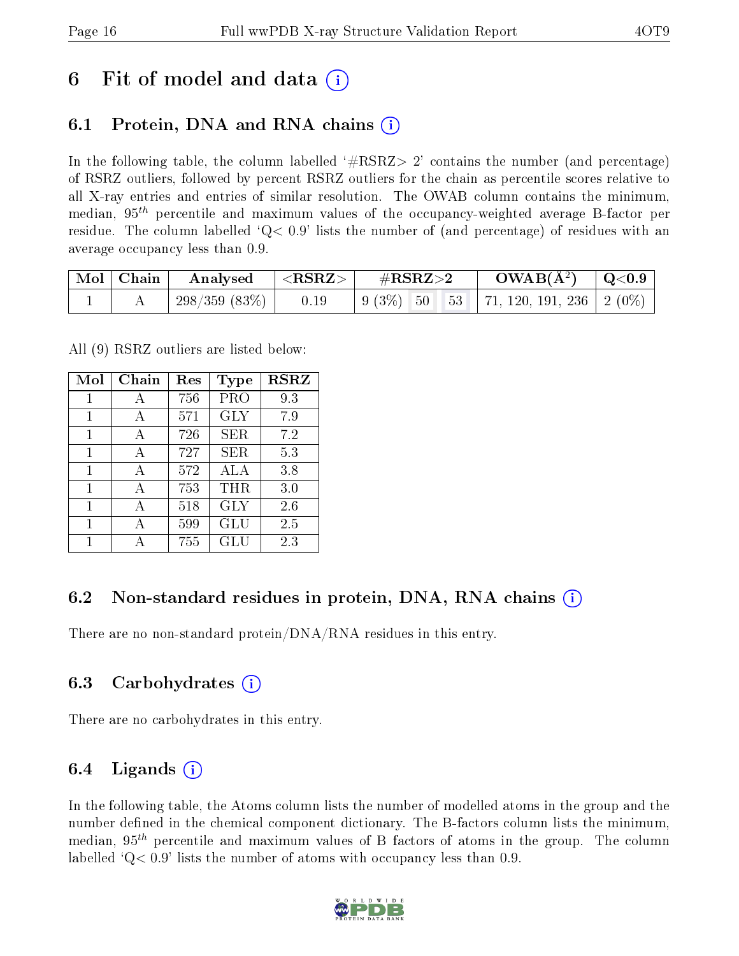## 6 Fit of model and data  $\left( \cdot \right)$

## 6.1 Protein, DNA and RNA chains (i)

In the following table, the column labelled  $#RSRZ>2'$  contains the number (and percentage) of RSRZ outliers, followed by percent RSRZ outliers for the chain as percentile scores relative to all X-ray entries and entries of similar resolution. The OWAB column contains the minimum, median,  $95<sup>th</sup>$  percentile and maximum values of the occupancy-weighted average B-factor per residue. The column labelled  $Q< 0.9$  lists the number of (and percentage) of residues with an average occupancy less than 0.9.

| Mol   Chain | $\boldsymbol{\mathrm{Analysed}}$ | $ \langle \mathrm{RSRZ}\rangle $ | $\rm \#RSRZ{>}2$ | $\rm{OWAB}(\AA^2)$ $\vert$ Q<0.9 $\vert$ |  |
|-------------|----------------------------------|----------------------------------|------------------|------------------------------------------|--|
|             | 298/359(83%)                     | 0.19                             |                  |                                          |  |

All (9) RSRZ outliers are listed below:

| Mol | Chain | $\operatorname{Res}% \left( \mathcal{N}\right) \equiv\operatorname{Res}(\mathcal{N}_{0},\mathcal{N}_{0})$ | <b>Type</b> | <b>RSRZ</b> |
|-----|-------|-----------------------------------------------------------------------------------------------------------|-------------|-------------|
| 1   | А     | 756                                                                                                       | PRO         | 9.3         |
| 1   | A     | 571                                                                                                       | <b>GLY</b>  | 7.9         |
| 1   | A     | 726                                                                                                       | <b>SER</b>  | 7.2         |
| 1   | А     | 727                                                                                                       | SER         | 5.3         |
| 1   | A     | 572                                                                                                       | ALA         | 3.8         |
| 1   | А     | 753                                                                                                       | THR         | 3.0         |
| 1   | А     | 518                                                                                                       | <b>GLY</b>  | 2.6         |
| 1   | А     | 599                                                                                                       | GLU         | 2.5         |
|     |       | 755                                                                                                       | GLU         | 2.3         |

### 6.2 Non-standard residues in protein, DNA, RNA chains  $(i)$

There are no non-standard protein/DNA/RNA residues in this entry.

#### 6.3 Carbohydrates (i)

There are no carbohydrates in this entry.

### 6.4 Ligands  $(i)$

In the following table, the Atoms column lists the number of modelled atoms in the group and the number defined in the chemical component dictionary. The B-factors column lists the minimum, median,  $95<sup>th</sup>$  percentile and maximum values of B factors of atoms in the group. The column labelled  $Q< 0.9$  lists the number of atoms with occupancy less than 0.9.